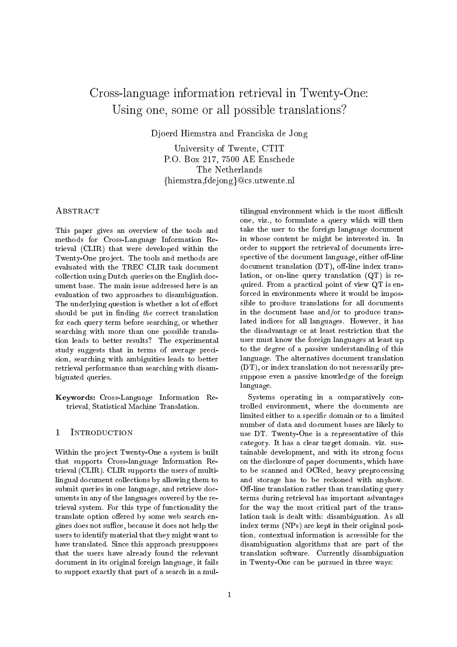# Cross-language information retrieval in Twenty-One: Using one, some or all possible translations?

Djoerd Hiemstra and Franciska de Jong

University of Twente, CTIT P.O. Box 217, 7500 AE Enschede The Netherlands  $\{hiemstra, fdejong\} @ \ncs. utwente. n!$ 

### **ABSTRACT**

This paper gives an overview of the tools and methods for Cross-Language Information Retrieval (CLIR) that were developed within the Twenty-One project. The tools and methods are evaluated with the TREC CLIR task document collection using Dutch queries on the English document base. The main issue addressed here is an evaluation of two approaches to disambiguation. The underlying question is whether a lot of effort should be put in finding the correct translation for each query term before searching, or whether searching with more than one possible translation leads to better results? The experimental study suggests that in terms of average precision, searching with ambiguities leads to better retrieval performance than searching with disambiguated queries.

Keywords: Cross-Language Information Retrieval, Statistical Machine Translation.

# 1 INTRODUCTION

Within the project Twenty-One a system is built that supports Cross-language Information Retrieval (CLIR). CLIR supports the users of multilingual document collections by allowing them to submit queries in one language, and retrieve documents in any of the languages covered by the retrieval system. For this type of functionality the translate option offered by some web search engines does not suffice, because it does not help the users to identify material that they might want to have translated. Since this approach presupposes that the users have already found the relevant document in its original foreign language, it fails to support exactly that part of a search in a multilingual environment which is the most difficult one, viz., to formulate a query which will then take the user to the foreign language document in whose content he might be interested in. In order to support the retrieval of documents irrespective of the document language, either off-line  $document$  translation  $(DT)$ , off-line index translation, or on-line query translation (QT) is required. From a practical point of view QT is enforced in environments where it would be impossible to produce translations for all documents in the document base and/or to produce translated indices for all languages. However, it has the disadvantage or at least restriction that the user must know the foreign languages at least up to the degree of a passive understanding of this language. The alternatives document translation (DT), or index translation do not necessarily presuppose even a passive knowledge of the foreign language.

Systems operating in a comparatively controlled environment, where the documents are limited either to a specic domain or to a limited number of data and document bases are likely to use DT. Twenty-One is a representative of this category. It has a clear target domain. viz. sustainable development, and with its strong focus on the disclosure of paper documents, which have to be scanned and OCRed, heavy preprocessing and storage has to be reckoned with anyhow. Off-line translation rather than translating query terms during retrieval has important advantages for the way the most critical part of the translation task is dealt with: disambiguation. As all index terms (NPs) are kept in their original position, contextual information is accessible for the disambiguation algorithms that are part of the translation software. Currently disambiguation in Twenty-One can be pursued in three ways: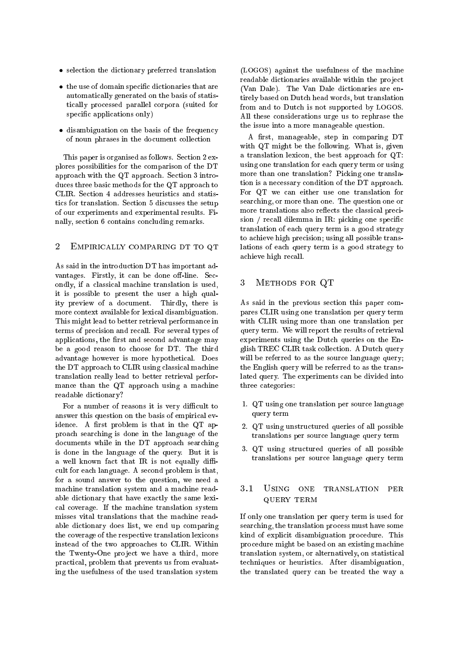- selection the dictionary preferred translation
- the use of domain specic dictionaries that are automatically generated on the basis of statistically processed parallel corpora (suited for specific applications only)
- disambiguation on the basis of the frequency of noun phrases in the document collection

This paper is organised as follows. Section 2 explores possibilities for the comparison of the DT approach with the QT approach. Section 3 introduces three basic methods for the QT approach to CLIR. Section 4 addresses heuristics and statistics for translation. Section 5 discusses the setup of our experiments and experimental results. Finally, section 6 contains concluding remarks.

#### $\overline{2}$ EMPIRICALLY COMPARING DT TO QT

As said in the introduction DT has important advantages. Firstly, it can be done off-line. Secondly, if a classical machine translation is used, it is possible to present the user a high quality preview of a document. Thirdly, there is more context available for lexical disambiguation. This might lead to better retrieval performance in terms of precision and recall. For several types of applications, the first and second advantage may be a good reason to choose for DT. The third advantage however is more hypothetical. Does the DT approach to CLIR using classical machine translation really lead to better retrieval performance than the QT approach using a machine readable dictionary?

For a number of reasons it is very difficult to answer this question on the basis of empirical evidence. A first problem is that in the QT approach searching is done in the language of the documents while in the DT approach searching is done in the language of the query. But it is a well known fact that IR is not equally difficult for each language. A second problem is that, for a sound answer to the question, we need a machine translation system and a machine readable dictionary that have exactly the same lexical coverage. If the machine translation system misses vital translations that the machine readable dictionary does list, we end up comparing the coverage of the respective translation lexicons instead of the two approaches to CLIR. Within the Twenty-One project we have a third, more practical, problem that prevents us from evaluating the usefulness of the used translation system

(LOGOS) against the usefulness of the machine readable dictionaries available within the project (Van Dale). The Van Dale dictionaries are entirely based on Dutch head words, but translation from and to Dutch is not supported by LOGOS. All these considerations urge us to rephrase the the issue into a more manageable question.

A first, manageable, step in comparing DT with QT might be the following. What is, given a translation lexicon, the best approach for QT: using one translation for each query term or using more than one translation? Picking one translation is a necessary condition of the DT approach. For QT we can either use one translation for searching, or more than one. The question one or more translations also reflects the classical preci $sion / recall$  dilemma in IR: picking one specific translation of each query term is a good strategy to achieve high precision; using all possible translations of each query term is a good strategy to achieve high recall.

# 3 Methods for QT

As said in the previous section this paper compares CLIR using one translation per query term with CLIR using more than one translation per query term. We will report the results of retrieval experiments using the Dutch queries on the English TREC CLIR task collection. A Dutch query will be referred to as the source language query; the English query will be referred to as the translated query. The experiments can be divided into three categories:

- 1. QT using one translation per source language query term
- 2. QT using unstructured queries of all possible translations per source language query term
- 3. QT using structured queries of all possible translations per source language query term

### $3.1$ USING ONE TRANSLATION PER query term

If only one translation per query term is used for searching, the translation process must have some kind of explicit disambiguation procedure. This procedure might be based on an existing machine translation system, or alternatively, on statistical techniques or heuristics. After disambiguation, the translated query can be treated the way a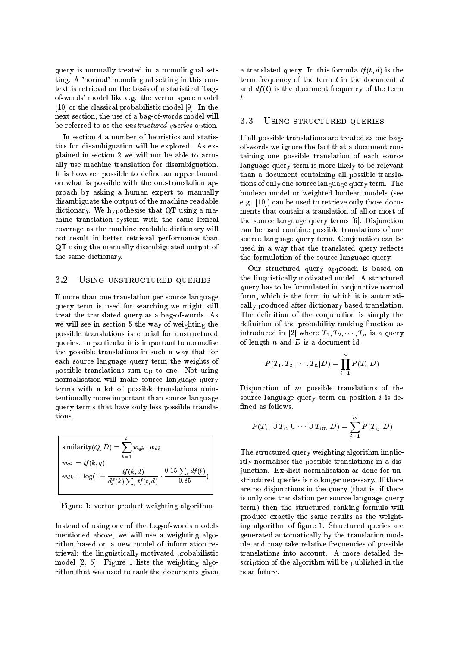query is normally treated in a monolingual setting. A 'normal' monolingual setting in this context is retrieval on the basis of a statistical 'bagof-words' model like e.g. the vector space model [10] or the classical probabilistic model [9]. In the next section, the use of a bag-of-words model will be referred to as the unstructured queries-option.

In section 4 a number of heuristics and statistics for disambiguation will be explored. As explained in section 2 we will not be able to actually use machine translation for disambiguation. It is however possible to define an upper bound on what is possible with the one-translation approach by asking a human expert to manually disambiguate the output of the machine readable dictionary. We hypothesise that QT using a machine translation system with the same lexical coverage as the machine readable dictionary will not result in better retrieval performance than QT using the manually disambiguated output of the same dictionary.

#### $3.2$ USING UNSTRUCTURED QUERIES

If more than one translation per source language query term is used for searching we might still treat the translated query as a bag-of-words. As we will see in section 5 the way of weighting the possible translations is crucial for unstructured queries. In particular it is important to normalise the possible translations in such a way that for each source language query term the weights of possible translations sum up to one. Not using normalisation will make source language query terms with a lot of possible translations unintentionally more important than source language query terms that have only less possible translations.

$$
\text{similarity}(Q, D) = \sum_{k=1}^{l} w_{qk} \cdot w_{dk}
$$
\n
$$
w_{qk} = tf(k, q)
$$
\n
$$
w_{dk} = \log(1 + \frac{tf(k, d)}{df(k) \sum_{t} tf(t, d)} \cdot \frac{0.15 \sum_{t} df(t)}{0.85})
$$

Figure 1: vector product weighting algorithm

Instead of using one of the bag-of-words models mentioned above, we will use a weighting algorithm based on a new model of information retrieval: the linguistically motivated probabilistic model [2, 5]. Figure 1 lists the weighting algorithm that was used to rank the documents given

a translated query. In this formula  $tf(t, d)$  is the term frequency of the term  $t$  in the document  $d$ and  $df(t)$  is the document frequency of the term  $\overline{t}$ 

#### $3.3$ USING STRUCTURED QUERIES

If all possible translations are treated as one bagof-words we ignore the fact that a document containing one possible translation of each source language query term is more likely to be relevant than a document containing all possible translations of only one source language query term. The boolean model or weighted boolean models (see e.g. [10]) can be used to retrieve only those documents that contain a translation of all or most of the source language query terms [6]. Disjunction can be used combine possible translations of one source language query term. Conjunction can be used in a way that the translated query reflects the formulation of the source language query.

Our structured query approach is based on the linguistically motivated model. A structured query has to be formulated in conjunctive normal form, which is the form in which it is automatically produced after dictionary based translation. The definition of the conjunction is simply the definition of the probability ranking function as introduced in [2] where  $T_1, T_2, \cdots, T_n$  is a query of length  $n$  and  $D$  is a document id.

$$
P(T_1, T_2, \cdots, T_n | D) = \prod_{i=1}^n P(T_i | D)
$$

Disjunction of  $m$  possible translations of the source language query term on position  $i$  is defined as follows.

$$
P(T_{i1}\cup T_{i2}\cup\cdots\cup T_{im}|D)=\sum_{j=1}^m P(T_{ij}|D)
$$

The structured query weighting algorithm implicitly normalises the possible translations in a disjunction. Explicit normalisation as done for unstructured queries is no longer necessary. If there are no disjunctions in the query (that is, if there is only one translation per source language query term) then the structured ranking formula will produce exactly the same results as the weighting algorithm of figure 1. Structured queries are generated automatically by the translation module and may take relative frequencies of possible translations into account. A more detailed description of the algorithm will be published in the near future.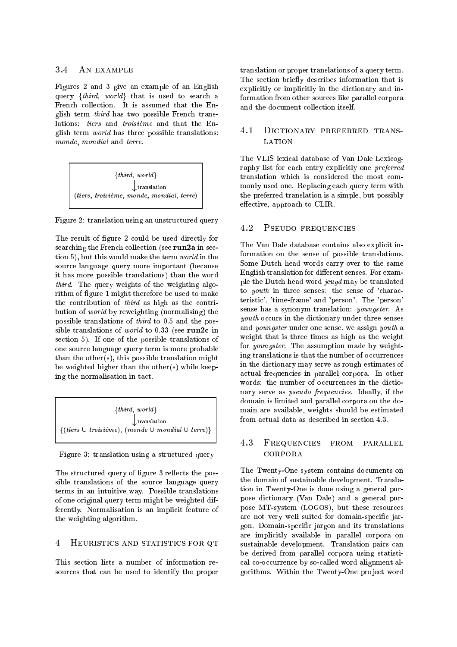#### $3\,4$ AN EXAMPLE

Figures 2 and 3 give an example of an English query  $\{third, world\}$  that is used to search a French collection. It is assumed that the English term third has two possible French translations: tiers and troisième and that the English term world has three possible translations: monde, mondial and terre.



Figure 2: translation using an unstructured query

The result of figure 2 could be used directly for searching the French collection (see run2a in section 5), but this would make the term world in the source language query more important (because it has more possible translations) than the word third. The query weights of the weighting algorithm of figure 1 might therefore be used to make the contribution of third as high as the contribution of world by reweighting (normalising) the possible translations of third to 0.5 and the possible translations of *world* to  $0.33$  (see run2c in section 5). If one of the possible translations of one source language query term is more probable than the other(s), this possible translation might be weighted higher than the other(s) while keeping the normalisation in tact.

| $\{third, world\}$                                                                             |  |
|------------------------------------------------------------------------------------------------|--|
| $\downarrow$ translation<br>$\{(tiers \cup troisi\`eme), (monde \cup mondial \cup terre)\}\ \$ |  |

Figure 3: translation using a structured query

The structured query of figure 3 reflects the possible translations of the source language query terms in an intuitive way. Possible translations of one original query term might be weighted differently. Normalisation is an implicit feature of the weighting algorithm.

#### $\overline{4}$ HEURISTICS AND STATISTICS FOR OT 4 Heuristics and statistics for qt

This section lists a number of information resources that can be used to identify the proper translation or proper translations of a query term. The section briefly describes information that is explicitly or implicitly in the dictionary and information from other sources like parallel corpora and the document collection itself.

# 4.1 Dictionary preferred trans-LATION

The VLIS lexical database of Van Dale Lexicography list for each entry explicitly one preferred translation which is considered the most commonly used one. Replacing each query term with the preferred translation is a simple, but possibly effective, approach to CLIR.

## 4.2 Pseudo frequencies

The Van Dale database contains also explicit information on the sense of possible translations. Some Dutch head words carry over to the same English translation for different senses. For example the Dutch head word jeugd may be translated to youth in three senses: the sense of 'characteristic', 'time-frame' and 'person'. The 'person' sense has a synonym translation: youngster. As youth occurs in the dictionary under three senses and youngster under one sense, we assign youth a weight that is three times as high as the weight for *youngster*. The assumption made by weighting translations is that the number of occurrences in the dictionary may serve as rough estimates of actual frequencies in parallel corpora. In other words: the number of occurrences in the dictionary serve as pseudo frequencies. Ideally, if the domain is limited and parallel corpora on the domain are available, weights should be estimated from actual data as described in section 4.3.

#### 4.3 FREQUENCIES FROM **PARALLEL CORPORA**

The Twenty-One system contains documents on the domain of sustainable development. Translation in Twenty-One is done using a general purpose dictionary (Van Dale) and a general purpose MT-system (LOGOS), but these resources are not very well suited for domain-specific jargon. Domain-specic jargon and its translations are implicitly available in parallel corpora on sustainable development. Translation pairs can be derived from parallel corpora using statistical co-occurrence by so-called word alignment algorithms. Within the Twenty-One project word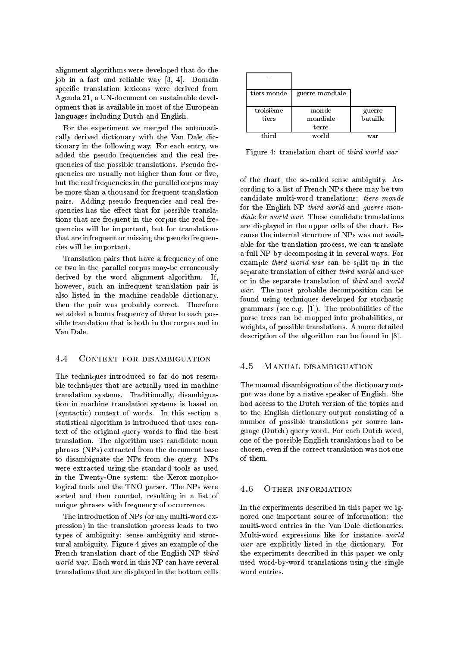alignment algorithms were developed that do the job in a fast and reliable way [3, 4]. Domain specific translation lexicons were derived from Agenda 21, a UN-document on sustainable development that is available in most of the European languages including Dutch and English.

For the experiment we merged the automatically derived dictionary with the Van Dale dictionary in the following way. For each entry, we added the pseudo frequencies and the real frequencies of the possible translations. Pseudo frequencies are usually not higher than four or five, but the real frequencies in the parallel corpus may be more than a thousand for frequent translation pairs. Adding pseudo frequencies and real frequencies has the effect that for possible translations that are frequent in the corpus the real frequencies will be important, but for translations that are infrequent or missing the pseudo frequencies will be important.

Translation pairs that have a frequency of one or two in the parallel corpus may-be erroneously derived by the word alignment algorithm. If, however, such an infrequent translation pair is also listed in the machine readable dictionary, then the pair was probably correct. Therefore we added a bonus frequency of three to each possible translation that is both in the corpus and in Van Dale.

#### $4.4$ CONTEXT FOR DISAMBIGUATION

The techniques introduced so far do not resemble techniques that are actually used in machine translation systems. Traditionally, disambiguation in machine translation systems is based on (syntactic) context of words. In this section a statistical algorithm is introduced that uses context of the original query words to find the best translation. The algorithm uses candidate noun phrases (NPs) extracted from the document base to disambiguate the NPs from the query. NPs were extracted using the standard tools as used in the Twenty-One system: the Xerox morphological tools and the TNO parser. The NPs were sorted and then counted, resulting in a list of unique phrases with frequency of occurrence.

The introduction of NPs (or any multi-word expression) in the translation process leads to two types of ambiguity: sense ambiguity and structural ambiguity. Figure 4 gives an example of the French translation chart of the English NP third world war. Each word in this NP can have several translations that are displayed in the bottom cells

| tiers monde | guerre mondiale |          |
|-------------|-----------------|----------|
| troisième   | monde           | guerre   |
| tiers       | mondiale        | bataille |
|             | terre           |          |
| third       | world           | war      |

Figure 4: translation chart of third world war

of the chart, the so-called sense ambiguity. According to a list of French NPs there may be two candidate multi-word translations: tiers monde for the English NP third world and guerre mondiale for world war. These candidate translations are displayed in the upper cells of the chart. Because the internal structure of NPs was not available for the translation process, we can translate a full NP by decomposing it in several ways. For example third world war can be split up in the separate translation of either third world and war or in the separate translation of third and world war. The most probable decomposition can be found using techniques developed for stochastic grammars (see e.g. [1]). The probabilities of the parse trees can be mapped into probabilities, or weights, of possible translations. A more detailed description of the algorithm can be found in [8].

#### $4.5$ MANUAL DISAMBIGUATION

The manual disambiguation of the dictionary output was done by a native speaker of English. She had access to the Dutch version of the topics and to the English dictionary output consisting of a number of possible translations per source language (Dutch) query word. For each Dutch word, one of the possible English translations had to be chosen, even if the correct translation was not one of them.

#### 4.6 OTHER INFORMATION

In the experiments described in this paper we ignored one important source of information: the multi-word entries in the Van Dale dictionaries. Multi-word expressions like for instance world war are explicitly listed in the dictionary. For the experiments described in this paper we only used word-by-word translations using the single word entries.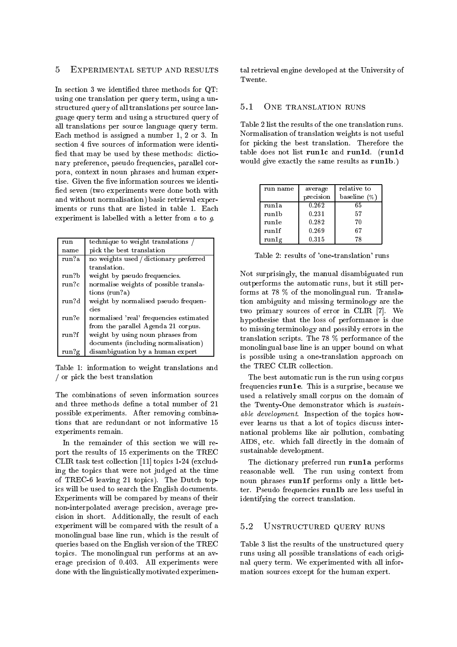#### $\overline{5}$ EXPERIMENTAL SETUP AND RESULTS

In section 3 we identied three methods for QT: using one translation per query term, using a unstructured query of all translations per source language query term and using a structured query of all translations per source language query term. Each method is assigned a number 1, 2 or 3. In section 4 five sources of information were identified that may be used by these methods: dictionary preference, pseudo frequencies, parallel corpora, context in noun phrases and human expertise. Given the five information sources we identified seven (two experiments were done both with and without normalisation) basic retrieval experiments or runs that are listed in table 1. Each experiment is labelled with a letter from a to g.

| run   | technique to weight translations        |
|-------|-----------------------------------------|
| name  | pick the best translation               |
| run?a | no weights used / dictionary preferred  |
|       | translation.                            |
| run?b | weight by pseudo frequencies.           |
| run?c | normalise weights of possible transla-  |
|       | tions (run?a)                           |
| run?d | weight by normalised pseudo frequen-    |
|       | cies                                    |
| run?e | normalised 'real' frequencies estimated |
|       | from the parallel Agenda 21 corpus.     |
| run?f | weight by using noun phrases from       |
|       | documents (including normalisation)     |
| run?g | disambiguation by a human expert        |

Table 1: information to weight translations and / or pick the best translation

The combinations of seven information sources and three methods define a total number of 21 possible experiments. After removing combinations that are redundant or not informative 15 experiments remain.

In the remainder of this section we will report the results of 15 experiments on the TREC CLIR task test collection [11] topics 1-24 (excluding the topics that were not judged at the time of TREC-6 leaving 21 topics). The Dutch topics will be used to search the English documents. Experiments will be compared by means of their non-interpolated average precision, average precision in short. Additionally, the result of each experiment will be compared with the result of a monolingual base line run, which is the result of queries based on the English version of the TREC topics. The monolingual run performs at an average precision of 0.403. All experiments were done with the linguistically motivated experimental retrieval engine developed at the University of Twente.

### 5.1 One translation runs

Table 2 list the results of the one translation runs. Normalisation of translation weights is not useful for picking the best translation. Therefore the table does not list run1c and run1d. (run1d would give exactly the same results as run1b.)

| run name | average   | relative to  |
|----------|-----------|--------------|
|          | precision | baseline (%) |
| run 1 a  | 0.262     | 65           |
| run 1 b  | 0.231     | 57           |
| run 1e   | 0.282     | 70           |
| run1f    | 0.269     | 67           |
| runlg    | 0.315     | 78           |

Table 2: results of 'one-translation' runs

Not surprisingly, the manual disambiguated run outperforms the automatic runs, but it still performs at 78 % of the monolingual run. Translation ambiguity and missing terminology are the two primary sources of error in CLIR [7]. We hypothesise that the loss of performance is due to missing terminology and possibly errors in the translation scripts. The 78 % performance of the monolingual base line is an upper bound on what is possible using a one-translation approach on the TREC CLIR collection.

The best automatic run is the run using corpus frequencies run1e. This is a surprise, because we used a relatively small corpus on the domain of the Twenty-One demonstrator which is sustainable development. Inspection of the topics however learns us that a lot of topics discuss international problems like air pollution, combating AIDS, etc. which fall directly in the domain of sustainable development.

The dictionary preferred run run1a performs reasonable well. The run using context from noun phrases run1f performs only a little better. Pseudo frequencies run1b are less useful in identifying the correct translation.

#### $5.2$ UNSTRUCTURED QUERY RUNS

Table 3 list the results of the unstructured query runs using all possible translations of each original query term. We experimented with all information sources except for the human expert.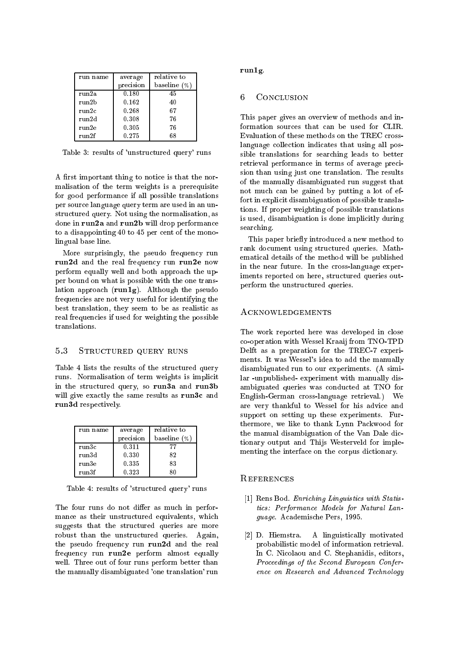| run name | average   | relative to  |
|----------|-----------|--------------|
|          | precision | baseline (%) |
| run2a    | 0.180     | 45           |
| run2b    | 0.162     | 40           |
| run2c    | 0.268     | 67           |
| run2d    | 0.308     | 76           |
| run2e    | 0.305     | 76           |
| run2f    | 0.275     | 68           |

Table 3: results of 'unstructured query' runs

A first important thing to notice is that the normalisation of the term weights is a prerequisite for good performance if all possible translations per source language query term are used in an unstructured query. Not using the normalisation, as done in run2a and run2b will drop performance to a disappointing 40 to 45 per cent of the monolingual base line.

More surprisingly, the pseudo frequency run runad and the real frequency run runae run perform equally well and both approach the upper bound on what is possible with the one translation approach  $(run1g)$ . Although the pseudo frequencies are not very useful for identifying the best translation, they seem to be as realistic as real frequencies if used for weighting the possible translations.

### 5.3 Structured query runs

Table 4 lists the results of the structured query runs. Normalisation of term weights is implicit in the structured query, so run3a and run3b will give exactly the same results as run3c and run3d respectively.

| run name | average   | relative to     |
|----------|-----------|-----------------|
|          | precision | baseline $(\%)$ |
| run3c    | 0.311     | 77              |
| run3d    | 0.330     | 82              |
| run3e    | 0.335     | 83              |
| run3f    | 0.323     | 80              |

Table 4: results of 'structured query' runs

The four runs do not differ as much in performance as their unstructured equivalents, which suggests that the structured queries are more robust than the unstructured queries. Again, the pseudo frequency run run2d and the real frequency run run2e perform almost equally well. Three out of four runs perform better than the manually disambiguated 'one translation' run

### run1g.

# 6

This paper gives an overview of methods and information sources that can be used for CLIR. Evaluation of these methods on the TREC crosslanguage collection indicates that using all possible translations for searching leads to better retrieval performance in terms of average precision than using just one translation. The results of the manually disambiguated run suggest that not much can be gained by putting a lot of effort in explicit disambiguation of possible translations. If proper weighting of possible translations is used, disambiguation is done implicitly during searching.

This paper briefly introduced a new method to rank document using structured queries. Mathematical details of the method will be published in the near future. In the cross-language experiments reported on here, structured queries outperform the unstructured queries.

### Acknowledgements

The work reported here was developed in close co-operation with Wessel Kraaij from TNO-TPD Delft as a preparation for the TREC-7 experiments. It was Wessel's idea to add the manually disambiguated run to our experiments. (A similar -unpublished- experiment with manually disambiguated queries was conducted at TNO for English-German cross-language retrieval.) We are very thankful to Wessel for his advice and support on setting up these experiments. Furthermore, we like to thank Lynn Packwood for the manual disambiguation of the Van Dale dictionary output and Thijs Westerveld for implementing the interface on the corpus dictionary.

### **REFERENCES**

- [1] Rens Bod. Enriching Linguistics with Statistics: Performance Models for Natural Language. Academische Pers, 1995.
- [2] D. Hiemstra. A linguistically motivated probabilistic model of information retrieval. In C. Nicolaou and C. Stephanidis, editors, Proceedings of the Second European Conference on Research and Advanced Technology